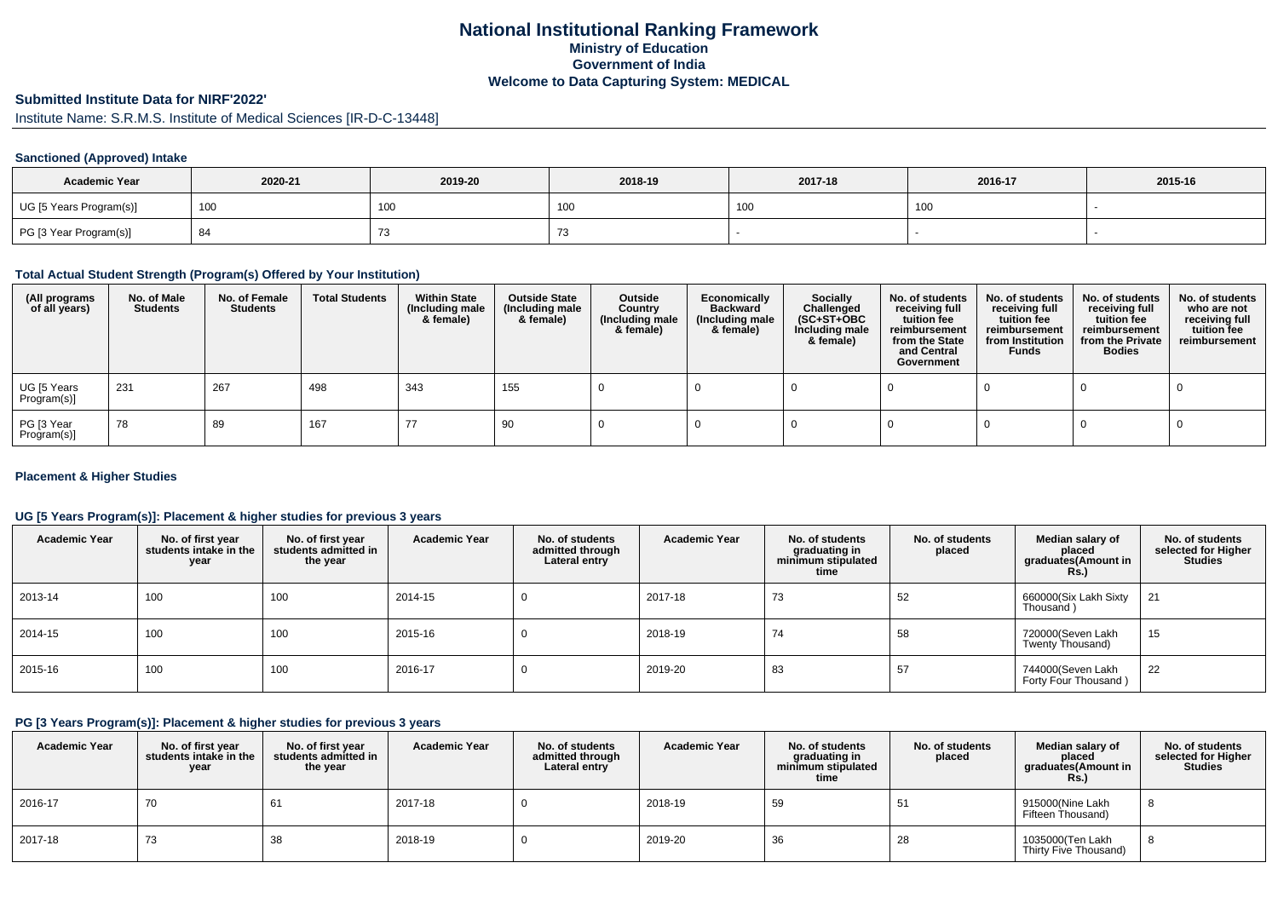# **National Institutional Ranking FrameworkMinistry of Education Government of IndiaWelcome to Data Capturing System: MEDICAL**

# **Submitted Institute Data for NIRF'2022'**

Institute Name: S.R.M.S. Institute of Medical Sciences [IR-D-C-13448]

#### **Sanctioned (Approved) Intake**

| <b>Academic Year</b>    | 2020-21 | 2019-20 | 2018-19         | 2017-18    | 2016-17 | 2015-16 |
|-------------------------|---------|---------|-----------------|------------|---------|---------|
| UG [5 Years Program(s)] | 100     | 100     | 10 <sub>0</sub> | 100<br>טטו | 100     |         |
| PG [3 Year Program(s)]  | - O     | ں ،     |                 |            |         |         |

### **Total Actual Student Strength (Program(s) Offered by Your Institution)**

| (All programs<br>of all years) | No. of Male<br><b>Students</b> | No. of Female<br><b>Students</b> | <b>Total Students</b> | <b>Within State</b><br>(Including male<br>& female) | <b>Outside State</b><br>(Including male<br>& female) | Outside<br>Country<br>(Including male<br>& female) | Economically<br><b>Backward</b><br>(Including male<br>& female) | <b>Socially</b><br>Challenged<br>$(SC+ST+OBC)$<br>Including male<br>& female) | No. of students<br>receiving full<br>tuition fee<br>reimbursement<br>from the State<br>and Central<br>Government | No. of students<br>receiving full<br>tuition fee<br>reimbursement<br>from Institution<br><b>Funds</b> | No. of students<br>receiving full<br>tuition fee<br>reimbursement<br>from the Private<br><b>Bodies</b> | No. of students<br>who are not<br>receiving full<br>tuition fee<br>reimbursement |
|--------------------------------|--------------------------------|----------------------------------|-----------------------|-----------------------------------------------------|------------------------------------------------------|----------------------------------------------------|-----------------------------------------------------------------|-------------------------------------------------------------------------------|------------------------------------------------------------------------------------------------------------------|-------------------------------------------------------------------------------------------------------|--------------------------------------------------------------------------------------------------------|----------------------------------------------------------------------------------|
| UG [5 Years<br>Program(s)]     | 231                            | 267                              | 498                   | 343                                                 | 155                                                  |                                                    |                                                                 |                                                                               |                                                                                                                  |                                                                                                       |                                                                                                        |                                                                                  |
| PG [3 Year<br>Program(s)]      | 78                             | 89                               | 167                   | 77                                                  | 90                                                   |                                                    |                                                                 |                                                                               |                                                                                                                  |                                                                                                       |                                                                                                        |                                                                                  |

#### **Placement & Higher Studies**

#### **UG [5 Years Program(s)]: Placement & higher studies for previous 3 years**

| <b>Academic Year</b> | No. of first year<br>students intake in the<br>year | No. of first vear<br>students admitted in<br>the year | <b>Academic Year</b> | No. of students<br>admitted through<br>Lateral entry | <b>Academic Year</b> | No. of students<br>graduating in<br>minimum stipulated<br>time | No. of students<br>placed | Median salary of<br>placed<br>graduates(Amount in<br>Rs. | No. of students<br>selected for Higher<br><b>Studies</b> |
|----------------------|-----------------------------------------------------|-------------------------------------------------------|----------------------|------------------------------------------------------|----------------------|----------------------------------------------------------------|---------------------------|----------------------------------------------------------|----------------------------------------------------------|
| 2013-14              | 100                                                 | 100                                                   | 2014-15              |                                                      | 2017-18              | 73                                                             | 52                        | 660000(Six Lakh Sixty<br>Thousand)                       | 21                                                       |
| 2014-15              | 100                                                 | 100                                                   | 2015-16              |                                                      | 2018-19              | 74                                                             | 58                        | 720000(Seven Lakh<br>Twenty Thousand)                    | 15                                                       |
| 2015-16              | 100                                                 | 100                                                   | 2016-17              |                                                      | 2019-20              | 83                                                             | 57                        | 744000(Seven Lakh<br>Forty Four Thousand)                | 22                                                       |

### **PG [3 Years Program(s)]: Placement & higher studies for previous 3 years**

| <b>Academic Year</b> | No. of first year<br>students intake in the<br>year | No. of first year<br>students admitted in<br>the year | <b>Academic Year</b> | No. of students<br>admitted through<br>Lateral entry | <b>Academic Year</b> | No. of students<br>graduating in<br>minimum stipulated<br>time | No. of students<br>placed | Median salary of<br>placed<br>graduates(Amount in<br><b>Rs.)</b> | No. of students<br>selected for Higher<br><b>Studies</b> |
|----------------------|-----------------------------------------------------|-------------------------------------------------------|----------------------|------------------------------------------------------|----------------------|----------------------------------------------------------------|---------------------------|------------------------------------------------------------------|----------------------------------------------------------|
| 2016-17              | 70                                                  | 61                                                    | 2017-18              |                                                      | 2018-19              | 59                                                             | ບ≀                        | 915000(Nine Lakh<br>Fifteen Thousand)                            |                                                          |
| 2017-18              | 73                                                  | 38                                                    | 2018-19              |                                                      | 2019-20              | 36                                                             | 28                        | 1035000(Ten Lakh<br>Thirty Five Thousand)                        |                                                          |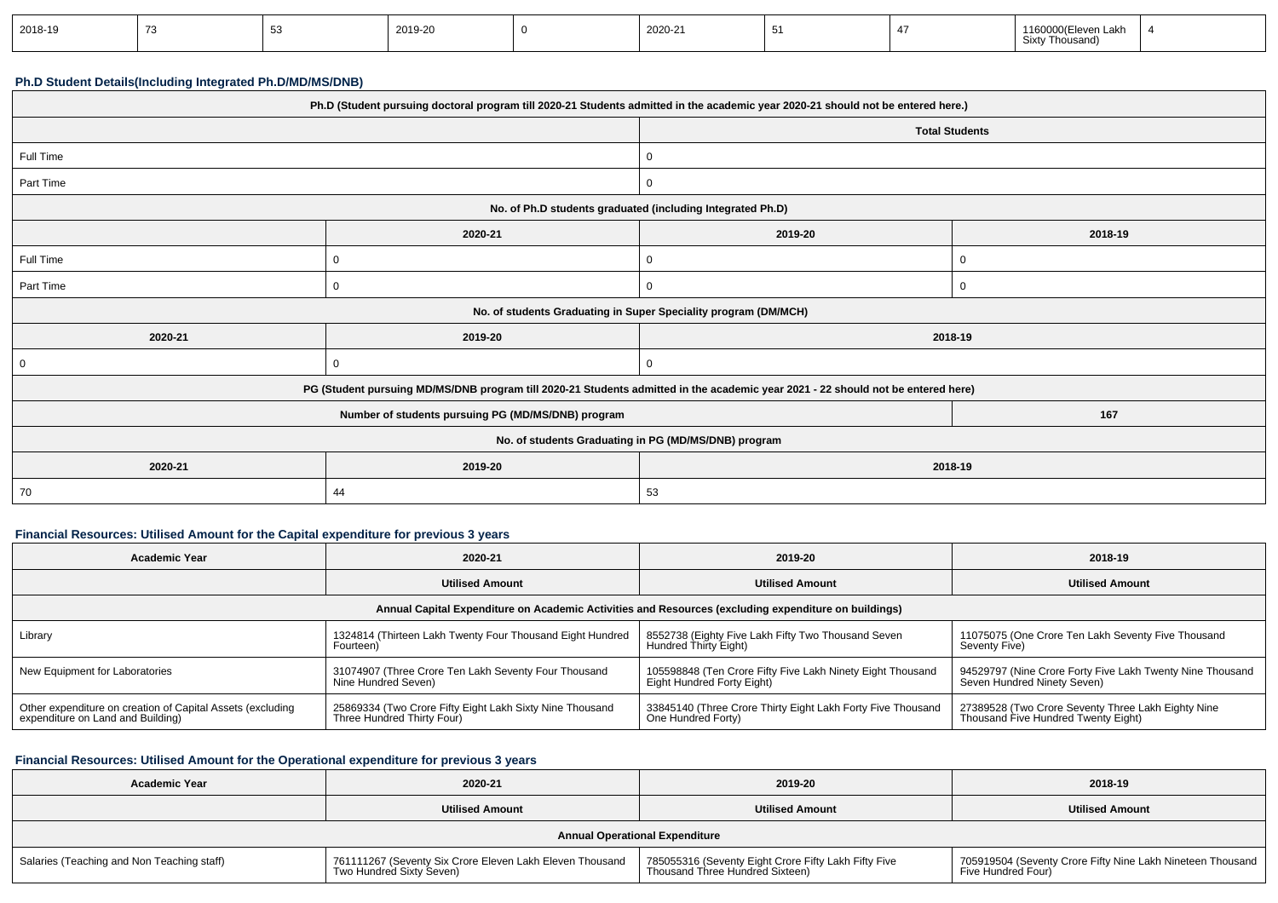| 2018-19 |  |  | 2019-20 |  | 2020-21 | ັ |  | 1160000(Eleven Lakh<br>Sixty<br>/ Thousand |  |
|---------|--|--|---------|--|---------|---|--|--------------------------------------------|--|
|---------|--|--|---------|--|---------|---|--|--------------------------------------------|--|

#### **Ph.D Student Details(Including Integrated Ph.D/MD/MS/DNB)**

| Ph.D (Student pursuing doctoral program till 2020-21 Students admitted in the academic year 2020-21 should not be entered here.) |                                                                                                                                  |                                                                 |             |  |  |
|----------------------------------------------------------------------------------------------------------------------------------|----------------------------------------------------------------------------------------------------------------------------------|-----------------------------------------------------------------|-------------|--|--|
|                                                                                                                                  |                                                                                                                                  | <b>Total Students</b>                                           |             |  |  |
| Full Time                                                                                                                        |                                                                                                                                  | 0                                                               |             |  |  |
| Part Time                                                                                                                        |                                                                                                                                  | $\mathbf{0}$                                                    |             |  |  |
|                                                                                                                                  |                                                                                                                                  | No. of Ph.D students graduated (including Integrated Ph.D)      |             |  |  |
|                                                                                                                                  | 2020-21                                                                                                                          | 2019-20                                                         | 2018-19     |  |  |
| Full Time                                                                                                                        | $\Omega$                                                                                                                         | 0                                                               |             |  |  |
| Part Time                                                                                                                        | $\mathbf{0}$                                                                                                                     | $\mathbf{0}$                                                    | $\mathbf 0$ |  |  |
|                                                                                                                                  |                                                                                                                                  | No. of students Graduating in Super Speciality program (DM/MCH) |             |  |  |
| 2020-21                                                                                                                          | 2019-20                                                                                                                          | 2018-19                                                         |             |  |  |
| $\overline{0}$                                                                                                                   | $\Omega$                                                                                                                         | $\mathbf{0}$                                                    |             |  |  |
|                                                                                                                                  | PG (Student pursuing MD/MS/DNB program till 2020-21 Students admitted in the academic year 2021 - 22 should not be entered here) |                                                                 |             |  |  |
| 167<br>Number of students pursuing PG (MD/MS/DNB) program                                                                        |                                                                                                                                  |                                                                 |             |  |  |
| No. of students Graduating in PG (MD/MS/DNB) program                                                                             |                                                                                                                                  |                                                                 |             |  |  |
| 2020-21                                                                                                                          | 2019-20                                                                                                                          | 2018-19                                                         |             |  |  |
| 70                                                                                                                               | 44                                                                                                                               | 53                                                              |             |  |  |

## **Financial Resources: Utilised Amount for the Capital expenditure for previous 3 years**

| Academic Year                                                                                        | 2020-21                                                   | 2019-20                                                     | 2018-19                                                                                   |  |  |  |
|------------------------------------------------------------------------------------------------------|-----------------------------------------------------------|-------------------------------------------------------------|-------------------------------------------------------------------------------------------|--|--|--|
|                                                                                                      | <b>Utilised Amount</b>                                    | <b>Utilised Amount</b>                                      | <b>Utilised Amount</b>                                                                    |  |  |  |
| Annual Capital Expenditure on Academic Activities and Resources (excluding expenditure on buildings) |                                                           |                                                             |                                                                                           |  |  |  |
| Library                                                                                              | 1324814 (Thirteen Lakh Twenty Four Thousand Eight Hundred | 8552738 (Eighty Five Lakh Fifty Two Thousand Seven          | 11075075 (One Crore Ten Lakh Seventy Five Thousand                                        |  |  |  |
|                                                                                                      | Fourteen)                                                 | Hundred Thirty Eight)                                       | Seventy Five)                                                                             |  |  |  |
| New Equipment for Laboratories                                                                       | 31074907 (Three Crore Ten Lakh Seventy Four Thousand      | 105598848 (Ten Crore Fifty Five Lakh Ninety Eight Thousand  | 94529797 (Nine Crore Forty Five Lakh Twenty Nine Thousand                                 |  |  |  |
|                                                                                                      | Nine Hundred Seven)                                       | Eight Hundred Forty Eight)                                  | Seven Hundred Ninety Seven)                                                               |  |  |  |
| Other expenditure on creation of Capital Assets (excluding                                           | 25869334 (Two Crore Fifty Eight Lakh Sixty Nine Thousand  | 33845140 (Three Crore Thirty Eight Lakh Forty Five Thousand | 27389528 (Two Crore Seventy Three Lakh Eighty Nine<br>Thousand Five Hundred Twenty Eight) |  |  |  |
| expenditure on Land and Building)                                                                    | Three Hundred Thirty Four)                                | One Hundred Forty)                                          |                                                                                           |  |  |  |

## **Financial Resources: Utilised Amount for the Operational expenditure for previous 3 years**

| <b>Academic Year</b>                       | 2020-21                                                                              | 2019-20                                                                                 | 2018-19                                                                          |
|--------------------------------------------|--------------------------------------------------------------------------------------|-----------------------------------------------------------------------------------------|----------------------------------------------------------------------------------|
|                                            | <b>Utilised Amount</b>                                                               | <b>Utilised Amount</b>                                                                  | <b>Utilised Amount</b>                                                           |
|                                            |                                                                                      | <b>Annual Operational Expenditure</b>                                                   |                                                                                  |
| Salaries (Teaching and Non Teaching staff) | 761111267 (Seventy Six Crore Eleven Lakh Eleven Thousand<br>Two Hundred Sixty Seven) | 785055316 (Seventy Eight Crore Fifty Lakh Fifty Five<br>Thousand Three Hundred Sixteen) | 705919504 (Seventy Crore Fifty Nine Lakh Nineteen Thousand<br>Five Hundred Four) |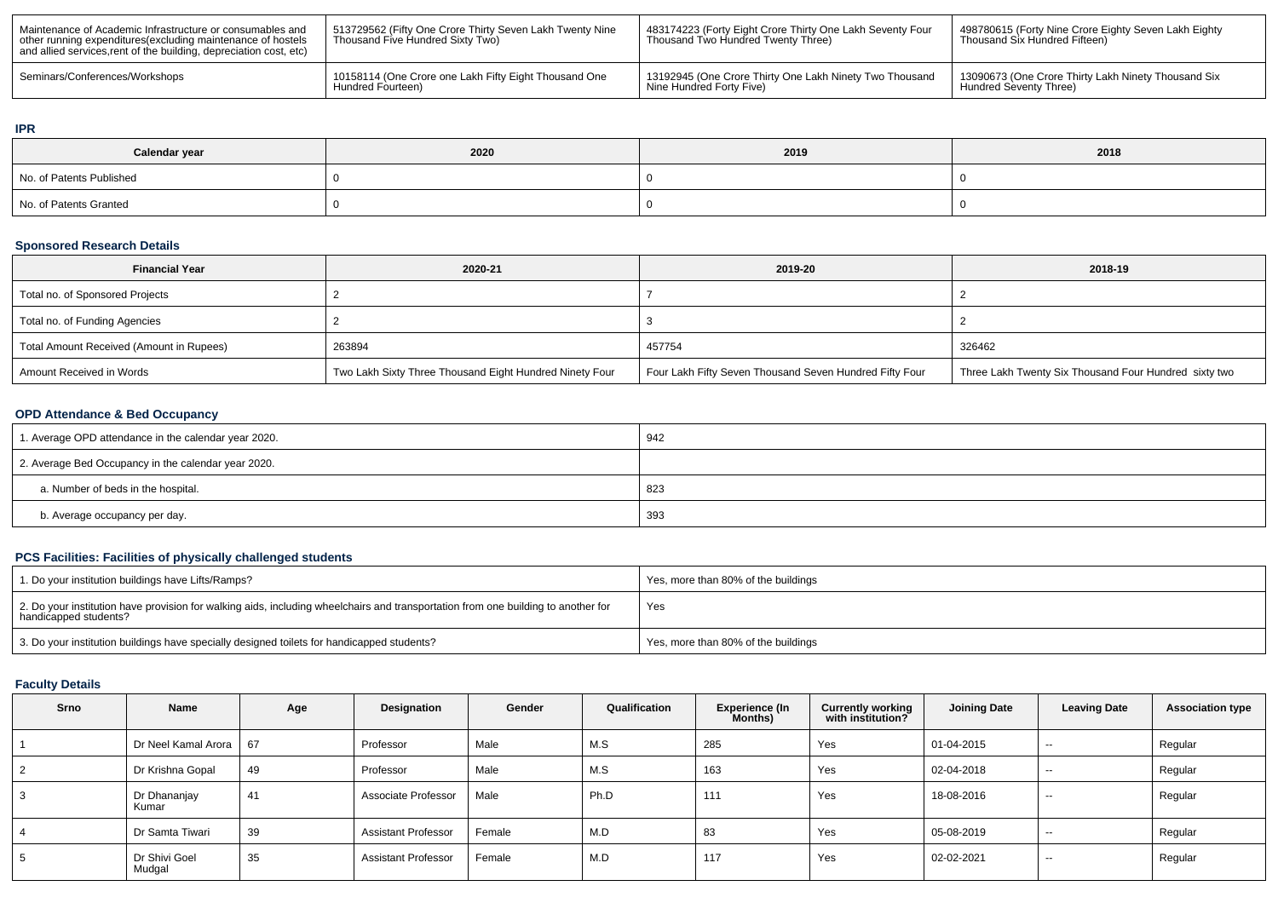| Maintenance of Academic Infrastructure or consumables and<br>other running expenditures (excluding maintenance of hostels<br>and allied services, rent of the building, depreciation cost, etc) | 513729562 (Fifty One Crore Thirty Seven Lakh Twenty Nine<br>Thousand Five Hundred Sixty Two) | <sup>1</sup> 483174223 (Forty Eight Crore Thirty One Lakh Seventy Four<br>Thousand Two Hundred Twenty Three) | 498780615 (Forty Nine Crore Eighty Seven Lakh Eighty<br>Thousand Six Hundred Fifteen) |
|-------------------------------------------------------------------------------------------------------------------------------------------------------------------------------------------------|----------------------------------------------------------------------------------------------|--------------------------------------------------------------------------------------------------------------|---------------------------------------------------------------------------------------|
| Seminars/Conferences/Workshops                                                                                                                                                                  | 10158114 (One Crore one Lakh Fifty Eight Thousand One                                        | 13192945 (One Crore Thirty One Lakh Ninety Two Thousand                                                      | 13090673 (One Crore Thirty Lakh Ninety Thousand Six                                   |
|                                                                                                                                                                                                 | Hundred Fourteen)                                                                            | Nine Hundred Forty Five)                                                                                     | Hundred Seventy Three)                                                                |

#### **IPR**

| Calendar year            | 2020 | 2019 | 2018 |
|--------------------------|------|------|------|
| No. of Patents Published |      |      |      |
| No. of Patents Granted   |      |      |      |

### **Sponsored Research Details**

| <b>Financial Year</b>                    | 2020-21                                                 | 2019-20                                                 | 2018-19                                               |
|------------------------------------------|---------------------------------------------------------|---------------------------------------------------------|-------------------------------------------------------|
| Total no. of Sponsored Projects          |                                                         |                                                         |                                                       |
| Total no. of Funding Agencies            |                                                         |                                                         |                                                       |
| Total Amount Received (Amount in Rupees) | 263894                                                  | 457754                                                  | 326462                                                |
| Amount Received in Words                 | Two Lakh Sixty Three Thousand Eight Hundred Ninety Four | Four Lakh Fifty Seven Thousand Seven Hundred Fifty Four | Three Lakh Twenty Six Thousand Four Hundred sixty two |

## **OPD Attendance & Bed Occupancy**

| 1. Average OPD attendance in the calendar year 2020. | 942 |
|------------------------------------------------------|-----|
| 2. Average Bed Occupancy in the calendar year 2020.  |     |
| a. Number of beds in the hospital.                   | 823 |
| b. Average occupancy per day.                        | 393 |

## **PCS Facilities: Facilities of physically challenged students**

| 1. Do your institution buildings have Lifts/Ramps?                                                                                                         | Yes, more than 80% of the buildings |
|------------------------------------------------------------------------------------------------------------------------------------------------------------|-------------------------------------|
| 2. Do your institution have provision for walking aids, including wheelchairs and transportation from one building to another for<br>handicapped students? | Yes                                 |
| 3. Do your institution buildings have specially designed toilets for handicapped students?                                                                 | Yes, more than 80% of the buildings |

# **Faculty Details**

| Srno | Name                    | Age | Designation                | Gender | Qualification | <b>Experience (In</b><br>Months) | <b>Currently working</b><br>with institution? | <b>Joining Date</b> | <b>Leaving Date</b>      | <b>Association type</b> |
|------|-------------------------|-----|----------------------------|--------|---------------|----------------------------------|-----------------------------------------------|---------------------|--------------------------|-------------------------|
|      | Dr Neel Kamal Arora     | 67  | Professor                  | Male   | M.S           | 285                              | Yes                                           | 01-04-2015          | $- -$                    | Regular                 |
| 2    | Dr Krishna Gopal        | 49  | Professor                  | Male   | M.S           | 163                              | Yes                                           | 02-04-2018          | $- -$                    | Regular                 |
| 3    | Dr Dhananjay<br>Kumar   | 41  | Associate Professor        | Male   | Ph.D          | 111                              | Yes                                           | 18-08-2016          | $\sim$                   | Regular                 |
|      | Dr Samta Tiwari         | 39  | <b>Assistant Professor</b> | Female | M.D           | 83                               | Yes                                           | 05-08-2019          | $- -$                    | Regular                 |
| 5    | Dr Shivi Goel<br>Mudgal | 35  | <b>Assistant Professor</b> | Female | M.D           | 117                              | Yes                                           | 02-02-2021          | $\overline{\phantom{a}}$ | Regular                 |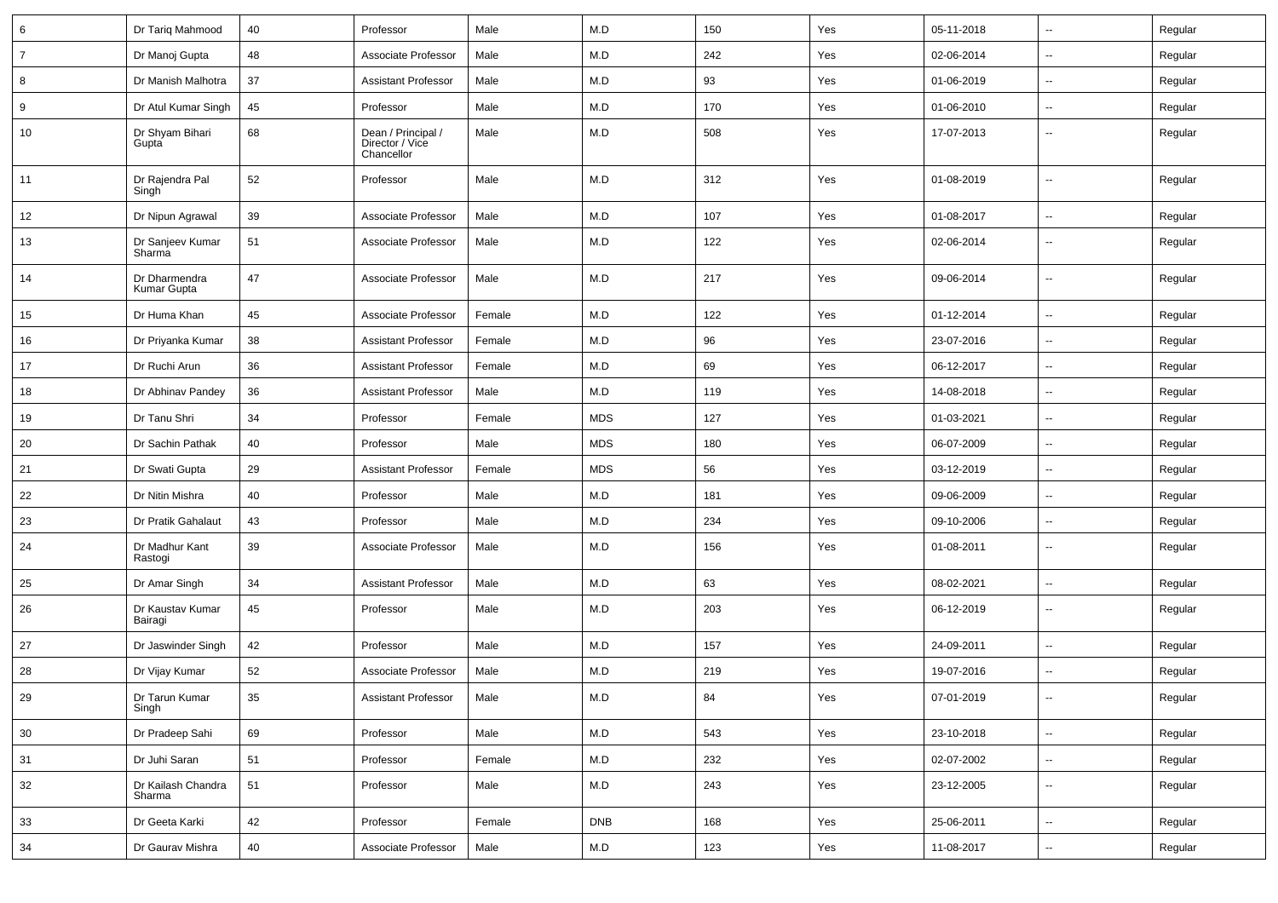| 6              | Dr Tariq Mahmood             | 40 | Professor                                           | Male   | M.D         | 150 | Yes | 05-11-2018 | ⊶.                       | Regular |
|----------------|------------------------------|----|-----------------------------------------------------|--------|-------------|-----|-----|------------|--------------------------|---------|
| $\overline{7}$ | Dr Manoj Gupta               | 48 | Associate Professor                                 | Male   | M.D         | 242 | Yes | 02-06-2014 | Ξ.                       | Regular |
| 8              | Dr Manish Malhotra           | 37 | <b>Assistant Professor</b>                          | Male   | M.D         | 93  | Yes | 01-06-2019 | $\overline{\phantom{a}}$ | Regular |
| 9              | Dr Atul Kumar Singh          | 45 | Professor                                           | Male   | M.D         | 170 | Yes | 01-06-2010 | -−                       | Regular |
| 10             | Dr Shyam Bihari<br>Gupta     | 68 | Dean / Principal /<br>Director / Vice<br>Chancellor | Male   | M.D         | 508 | Yes | 17-07-2013 | Ξ.                       | Regular |
| 11             | Dr Rajendra Pal<br>Singh     | 52 | Professor                                           | Male   | M.D         | 312 | Yes | 01-08-2019 | --                       | Regular |
| 12             | Dr Nipun Agrawal             | 39 | Associate Professor                                 | Male   | M.D         | 107 | Yes | 01-08-2017 | ⊷.                       | Regular |
| 13             | Dr Sanjeev Kumar<br>Sharma   | 51 | Associate Professor                                 | Male   | M.D         | 122 | Yes | 02-06-2014 | $\sim$                   | Regular |
| 14             | Dr Dharmendra<br>Kumar Gupta | 47 | Associate Professor                                 | Male   | M.D         | 217 | Yes | 09-06-2014 | $\overline{\phantom{a}}$ | Regular |
| 15             | Dr Huma Khan                 | 45 | Associate Professor                                 | Female | M.D         | 122 | Yes | 01-12-2014 | ц.                       | Regular |
| 16             | Dr Priyanka Kumar            | 38 | <b>Assistant Professor</b>                          | Female | M.D         | 96  | Yes | 23-07-2016 | ⊶.                       | Regular |
| 17             | Dr Ruchi Arun                | 36 | <b>Assistant Professor</b>                          | Female | M.D         | 69  | Yes | 06-12-2017 | ⊷.                       | Regular |
| 18             | Dr Abhinav Pandey            | 36 | <b>Assistant Professor</b>                          | Male   | M.D         | 119 | Yes | 14-08-2018 | $\overline{\phantom{a}}$ | Regular |
| 19             | Dr Tanu Shri                 | 34 | Professor                                           | Female | <b>MDS</b>  | 127 | Yes | 01-03-2021 | $\overline{\phantom{a}}$ | Regular |
| 20             | Dr Sachin Pathak             | 40 | Professor                                           | Male   | <b>MDS</b>  | 180 | Yes | 06-07-2009 | ⊷.                       | Regular |
| 21             | Dr Swati Gupta               | 29 | <b>Assistant Professor</b>                          | Female | <b>MDS</b>  | 56  | Yes | 03-12-2019 | Ξ.                       | Regular |
| 22             | Dr Nitin Mishra              | 40 | Professor                                           | Male   | M.D         | 181 | Yes | 09-06-2009 | ⊷.                       | Regular |
| 23             | Dr Pratik Gahalaut           | 43 | Professor                                           | Male   | M.D         | 234 | Yes | 09-10-2006 | ⊷.                       | Regular |
| 24             | Dr Madhur Kant<br>Rastogi    | 39 | Associate Professor                                 | Male   | M.D         | 156 | Yes | 01-08-2011 | $\overline{\phantom{a}}$ | Regular |
| 25             | Dr Amar Singh                | 34 | <b>Assistant Professor</b>                          | Male   | M.D         | 63  | Yes | 08-02-2021 | Ξ.                       | Regular |
| 26             | Dr Kaustav Kumar<br>Bairagi  | 45 | Professor                                           | Male   | M.D         | 203 | Yes | 06-12-2019 | $\overline{\phantom{a}}$ | Regular |
| 27             | Dr Jaswinder Singh           | 42 | Professor                                           | Male   | M.D         | 157 | Yes | 24-09-2011 | -−                       | Regular |
| 28             | Dr Vijay Kumar               | 52 | Associate Professor                                 | Male   | M.D         | 219 | Yes | 19-07-2016 | н.                       | Regular |
| 29             | Dr Tarun Kumar<br>Singh      | 35 | <b>Assistant Professor</b>                          | Male   | ${\sf M.D}$ | 84  | Yes | 07-01-2019 |                          | Regular |
| 30             | Dr Pradeep Sahi              | 69 | Professor                                           | Male   | M.D         | 543 | Yes | 23-10-2018 | $\bar{\phantom{a}}$      | Regular |
| 31             | Dr Juhi Saran                | 51 | Professor                                           | Female | M.D         | 232 | Yes | 02-07-2002 | $\overline{\phantom{a}}$ | Regular |
| 32             | Dr Kailash Chandra<br>Sharma | 51 | Professor                                           | Male   | M.D         | 243 | Yes | 23-12-2005 | н,                       | Regular |
| 33             | Dr Geeta Karki               | 42 | Professor                                           | Female | <b>DNB</b>  | 168 | Yes | 25-06-2011 | $\overline{\phantom{a}}$ | Regular |
| 34             | Dr Gaurav Mishra             | 40 | Associate Professor                                 | Male   | M.D         | 123 | Yes | 11-08-2017 | $\sim$                   | Regular |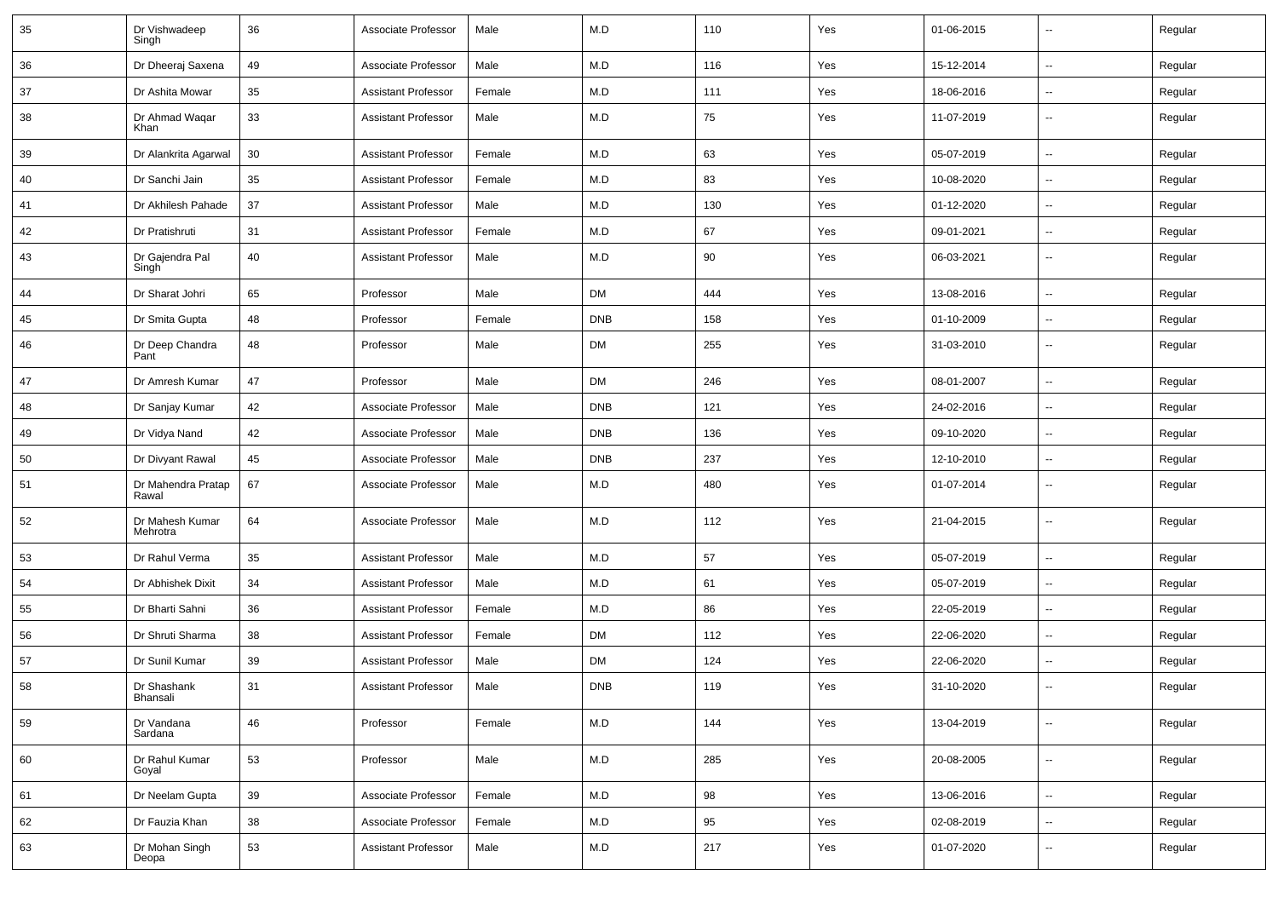| 35 | Dr Vishwadeep<br>Singh                | 36 | Associate Professor        | Male   | M.D        | 110 | Yes | 01-06-2015 | $\sim$                   | Regular |
|----|---------------------------------------|----|----------------------------|--------|------------|-----|-----|------------|--------------------------|---------|
| 36 | Dr Dheeraj Saxena                     | 49 | Associate Professor        | Male   | M.D        | 116 | Yes | 15-12-2014 | $\sim$                   | Regular |
| 37 | Dr Ashita Mowar                       | 35 | <b>Assistant Professor</b> | Female | M.D        | 111 | Yes | 18-06-2016 | $\overline{\phantom{a}}$ | Regular |
| 38 | Dr Ahmad Waqar<br>Khan                | 33 | <b>Assistant Professor</b> | Male   | M.D        | 75  | Yes | 11-07-2019 | $\sim$                   | Regular |
| 39 | Dr Alankrita Agarwal                  | 30 | <b>Assistant Professor</b> | Female | M.D        | 63  | Yes | 05-07-2019 | $\overline{\phantom{a}}$ | Regular |
| 40 | Dr Sanchi Jain                        | 35 | <b>Assistant Professor</b> | Female | M.D        | 83  | Yes | 10-08-2020 | $\overline{\phantom{a}}$ | Regular |
| 41 | Dr Akhilesh Pahade                    | 37 | <b>Assistant Professor</b> | Male   | M.D        | 130 | Yes | 01-12-2020 | $\overline{\phantom{a}}$ | Regular |
| 42 | Dr Pratishruti                        | 31 | <b>Assistant Professor</b> | Female | M.D        | 67  | Yes | 09-01-2021 | $\sim$                   | Regular |
| 43 | Dr Gajendra Pal<br>Singh <sup>1</sup> | 40 | <b>Assistant Professor</b> | Male   | M.D        | 90  | Yes | 06-03-2021 | $\sim$                   | Regular |
| 44 | Dr Sharat Johri                       | 65 | Professor                  | Male   | DM         | 444 | Yes | 13-08-2016 | $\sim$                   | Regular |
| 45 | Dr Smita Gupta                        | 48 | Professor                  | Female | <b>DNB</b> | 158 | Yes | 01-10-2009 | $\overline{\phantom{a}}$ | Regular |
| 46 | Dr Deep Chandra<br>Pant               | 48 | Professor                  | Male   | DM         | 255 | Yes | 31-03-2010 | $\sim$                   | Regular |
| 47 | Dr Amresh Kumar                       | 47 | Professor                  | Male   | <b>DM</b>  | 246 | Yes | 08-01-2007 | ÷.                       | Regular |
| 48 | Dr Sanjay Kumar                       | 42 | Associate Professor        | Male   | <b>DNB</b> | 121 | Yes | 24-02-2016 | $\overline{\phantom{a}}$ | Regular |
| 49 | Dr Vidya Nand                         | 42 | Associate Professor        | Male   | <b>DNB</b> | 136 | Yes | 09-10-2020 | $\overline{\phantom{a}}$ | Regular |
| 50 | Dr Divyant Rawal                      | 45 | Associate Professor        | Male   | <b>DNB</b> | 237 | Yes | 12-10-2010 | $\sim$                   | Regular |
| 51 | Dr Mahendra Pratap<br>Rawal           | 67 | Associate Professor        | Male   | M.D        | 480 | Yes | 01-07-2014 | $\sim$                   | Regular |
| 52 | Dr Mahesh Kumar<br>Mehrotra           | 64 | Associate Professor        | Male   | M.D        | 112 | Yes | 21-04-2015 | $\sim$                   | Regular |
| 53 | Dr Rahul Verma                        | 35 | <b>Assistant Professor</b> | Male   | M.D        | 57  | Yes | 05-07-2019 | $\sim$                   | Regular |
| 54 | Dr Abhishek Dixit                     | 34 | <b>Assistant Professor</b> | Male   | M.D        | 61  | Yes | 05-07-2019 | $\overline{\phantom{a}}$ | Regular |
| 55 | Dr Bharti Sahni                       | 36 | <b>Assistant Professor</b> | Female | M.D        | 86  | Yes | 22-05-2019 | $\sim$                   | Regular |
| 56 | Dr Shruti Sharma                      | 38 | <b>Assistant Professor</b> | Female | DM         | 112 | Yes | 22-06-2020 | $\overline{\phantom{a}}$ | Regular |
| 57 | Dr Sunil Kumar                        | 39 | <b>Assistant Professor</b> | Male   | <b>DM</b>  | 124 | Yes | 22-06-2020 | $\overline{\phantom{a}}$ | Regular |
| 58 | Dr Shashank<br><b>Dridrisall</b>      | 31 | <b>Assistant Professor</b> | Male   | <b>DNB</b> | 119 | Yes | 31-10-2020 | $\overline{\phantom{a}}$ | Regular |
| 59 | Dr Vandana<br>Sardana                 | 46 | Professor                  | Female | M.D        | 144 | Yes | 13-04-2019 | $\sim$                   | Regular |
| 60 | Dr Rahul Kumar<br>Goyal               | 53 | Professor                  | Male   | M.D        | 285 | Yes | 20-08-2005 | $\overline{\phantom{a}}$ | Regular |
| 61 | Dr Neelam Gupta                       | 39 | Associate Professor        | Female | M.D        | 98  | Yes | 13-06-2016 | $\sim$                   | Regular |
| 62 | Dr Fauzia Khan                        | 38 | Associate Professor        | Female | M.D        | 95  | Yes | 02-08-2019 | $\sim$                   | Regular |
| 63 | Dr Mohan Singh<br>Deopa               | 53 | Assistant Professor        | Male   | M.D        | 217 | Yes | 01-07-2020 | ⊶.                       | Regular |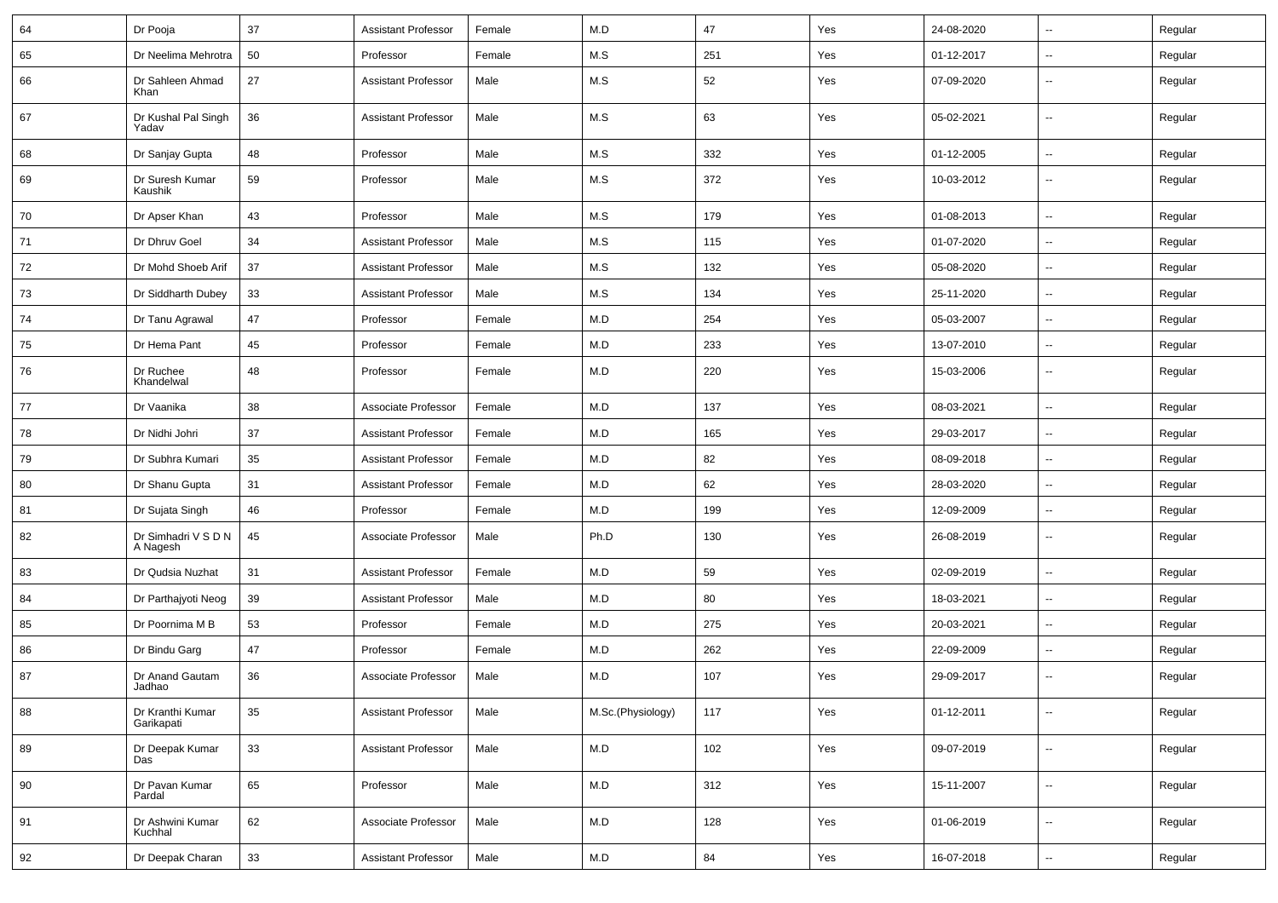| 64 | Dr Pooja                        | 37 | <b>Assistant Professor</b> | Female | M.D               | 47  | Yes | 24-08-2020 | ⊷.                       | Regular |
|----|---------------------------------|----|----------------------------|--------|-------------------|-----|-----|------------|--------------------------|---------|
| 65 | Dr Neelima Mehrotra             | 50 | Professor                  | Female | M.S               | 251 | Yes | 01-12-2017 | -−                       | Regular |
| 66 | Dr Sahleen Ahmad<br>Khan        | 27 | <b>Assistant Professor</b> | Male   | M.S               | 52  | Yes | 07-09-2020 | $\overline{\phantom{a}}$ | Regular |
| 67 | Dr Kushal Pal Singh<br>Yadav    | 36 | <b>Assistant Professor</b> | Male   | M.S               | 63  | Yes | 05-02-2021 | ⊷.                       | Regular |
| 68 | Dr Sanjay Gupta                 | 48 | Professor                  | Male   | M.S               | 332 | Yes | 01-12-2005 | $\overline{\phantom{a}}$ | Regular |
| 69 | Dr Suresh Kumar<br>Kaushik      | 59 | Professor                  | Male   | M.S               | 372 | Yes | 10-03-2012 | --                       | Regular |
| 70 | Dr Apser Khan                   | 43 | Professor                  | Male   | M.S               | 179 | Yes | 01-08-2013 | $\overline{\phantom{a}}$ | Regular |
| 71 | Dr Dhruv Goel                   | 34 | <b>Assistant Professor</b> | Male   | M.S               | 115 | Yes | 01-07-2020 | -−                       | Regular |
| 72 | Dr Mohd Shoeb Arif              | 37 | <b>Assistant Professor</b> | Male   | M.S               | 132 | Yes | 05-08-2020 | $\overline{\phantom{a}}$ | Regular |
| 73 | Dr Siddharth Dubey              | 33 | <b>Assistant Professor</b> | Male   | M.S               | 134 | Yes | 25-11-2020 | $\overline{\phantom{a}}$ | Regular |
| 74 | Dr Tanu Agrawal                 | 47 | Professor                  | Female | M.D               | 254 | Yes | 05-03-2007 | --                       | Regular |
| 75 | Dr Hema Pant                    | 45 | Professor                  | Female | M.D               | 233 | Yes | 13-07-2010 | ⊷.                       | Regular |
| 76 | Dr Ruchee<br>Khandelwal         | 48 | Professor                  | Female | M.D               | 220 | Yes | 15-03-2006 | $\overline{\phantom{a}}$ | Regular |
| 77 | Dr Vaanika                      | 38 | Associate Professor        | Female | M.D               | 137 | Yes | 08-03-2021 | --                       | Regular |
| 78 | Dr Nidhi Johri                  | 37 | <b>Assistant Professor</b> | Female | M.D               | 165 | Yes | 29-03-2017 | --                       | Regular |
| 79 | Dr Subhra Kumari                | 35 | <b>Assistant Professor</b> | Female | M.D               | 82  | Yes | 08-09-2018 | Ξ.                       | Regular |
| 80 | Dr Shanu Gupta                  | 31 | <b>Assistant Professor</b> | Female | M.D               | 62  | Yes | 28-03-2020 | ⊶.                       | Regular |
| 81 | Dr Sujata Singh                 | 46 | Professor                  | Female | M.D               | 199 | Yes | 12-09-2009 | -−                       | Regular |
| 82 | Dr Simhadri V S D N<br>A Nagesh | 45 | Associate Professor        | Male   | Ph.D              | 130 | Yes | 26-08-2019 | ⊷.                       | Regular |
| 83 | Dr Qudsia Nuzhat                | 31 | <b>Assistant Professor</b> | Female | M.D               | 59  | Yes | 02-09-2019 | $\overline{\phantom{a}}$ | Regular |
| 84 | Dr Parthajyoti Neog             | 39 | <b>Assistant Professor</b> | Male   | M.D               | 80  | Yes | 18-03-2021 | $\overline{\phantom{a}}$ | Regular |
| 85 | Dr Poornima M B                 | 53 | Professor                  | Female | M.D               | 275 | Yes | 20-03-2021 | --                       | Regular |
| 86 | Dr Bindu Garg                   | 47 | Professor                  | Female | M.D               | 262 | Yes | 22-09-2009 | ⊷.                       | Regular |
| 87 | Dr Anand Gautam<br>Jadhao       | 36 | Associate Professor        | Male   | M.D               | 107 | Yes | 29-09-2017 | $\overline{\phantom{a}}$ | Regular |
| 88 | Dr Kranthi Kumar<br>Garikapati  | 35 | <b>Assistant Professor</b> | Male   | M.Sc.(Physiology) | 117 | Yes | 01-12-2011 | $\overline{\phantom{a}}$ | Regular |
| 89 | Dr Deepak Kumar<br>Das          | 33 | <b>Assistant Professor</b> | Male   | M.D               | 102 | Yes | 09-07-2019 | $\overline{\phantom{a}}$ | Regular |
| 90 | Dr Pavan Kumar<br>Pardal        | 65 | Professor                  | Male   | M.D               | 312 | Yes | 15-11-2007 | $\overline{\phantom{a}}$ | Regular |
| 91 | Dr Ashwini Kumar<br>Kuchhal     | 62 | Associate Professor        | Male   | M.D               | 128 | Yes | 01-06-2019 | $\overline{\phantom{a}}$ | Regular |
| 92 | Dr Deepak Charan                | 33 | <b>Assistant Professor</b> | Male   | M.D               | 84  | Yes | 16-07-2018 | $\sim$                   | Regular |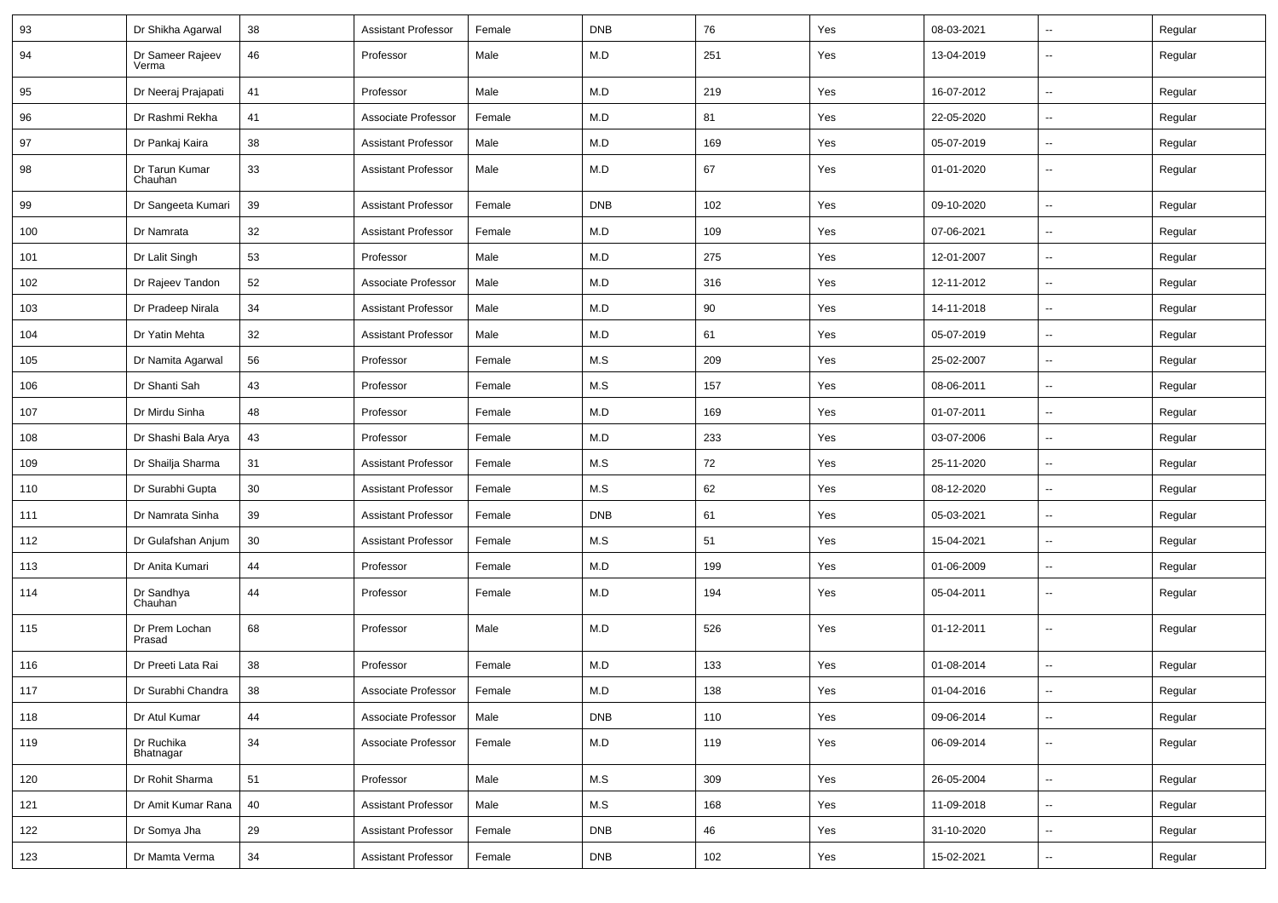| 93  | Dr Shikha Agarwal         | 38 | <b>Assistant Professor</b> | Female | <b>DNB</b> | 76  | Yes | 08-03-2021 | $\overline{\phantom{a}}$ | Regular |
|-----|---------------------------|----|----------------------------|--------|------------|-----|-----|------------|--------------------------|---------|
| 94  | Dr Sameer Rajeev<br>Verma | 46 | Professor                  | Male   | M.D        | 251 | Yes | 13-04-2019 | --                       | Regular |
| 95  | Dr Neeraj Prajapati       | 41 | Professor                  | Male   | M.D        | 219 | Yes | 16-07-2012 | -−                       | Regular |
| 96  | Dr Rashmi Rekha           | 41 | Associate Professor        | Female | M.D        | 81  | Yes | 22-05-2020 | -−                       | Regular |
| 97  | Dr Pankaj Kaira           | 38 | <b>Assistant Professor</b> | Male   | M.D        | 169 | Yes | 05-07-2019 | --                       | Regular |
| 98  | Dr Tarun Kumar<br>Chauhan | 33 | <b>Assistant Professor</b> | Male   | M.D        | 67  | Yes | 01-01-2020 | --                       | Regular |
| 99  | Dr Sangeeta Kumari        | 39 | <b>Assistant Professor</b> | Female | <b>DNB</b> | 102 | Yes | 09-10-2020 | ш,                       | Regular |
| 100 | Dr Namrata                | 32 | <b>Assistant Professor</b> | Female | M.D        | 109 | Yes | 07-06-2021 | $\overline{\phantom{a}}$ | Regular |
| 101 | Dr Lalit Singh            | 53 | Professor                  | Male   | M.D        | 275 | Yes | 12-01-2007 | $\sim$                   | Regular |
| 102 | Dr Rajeev Tandon          | 52 | Associate Professor        | Male   | M.D        | 316 | Yes | 12-11-2012 | --                       | Regular |
| 103 | Dr Pradeep Nirala         | 34 | <b>Assistant Professor</b> | Male   | M.D        | 90  | Yes | 14-11-2018 | $\overline{\phantom{a}}$ | Regular |
| 104 | Dr Yatin Mehta            | 32 | <b>Assistant Professor</b> | Male   | M.D        | 61  | Yes | 05-07-2019 | $\overline{\phantom{a}}$ | Regular |
| 105 | Dr Namita Agarwal         | 56 | Professor                  | Female | M.S        | 209 | Yes | 25-02-2007 | -−                       | Regular |
| 106 | Dr Shanti Sah             | 43 | Professor                  | Female | M.S        | 157 | Yes | 08-06-2011 | ⊷.                       | Regular |
| 107 | Dr Mirdu Sinha            | 48 | Professor                  | Female | M.D        | 169 | Yes | 01-07-2011 | $\overline{\phantom{a}}$ | Regular |
| 108 | Dr Shashi Bala Arya       | 43 | Professor                  | Female | M.D        | 233 | Yes | 03-07-2006 | -−                       | Regular |
| 109 | Dr Shailja Sharma         | 31 | <b>Assistant Professor</b> | Female | M.S        | 72  | Yes | 25-11-2020 | -−                       | Regular |
| 110 | Dr Surabhi Gupta          | 30 | <b>Assistant Professor</b> | Female | M.S        | 62  | Yes | 08-12-2020 | --                       | Regular |
| 111 | Dr Namrata Sinha          | 39 | <b>Assistant Professor</b> | Female | <b>DNB</b> | 61  | Yes | 05-03-2021 | $\overline{\phantom{a}}$ | Regular |
| 112 | Dr Gulafshan Anjum        | 30 | <b>Assistant Professor</b> | Female | M.S        | 51  | Yes | 15-04-2021 | ⊷.                       | Regular |
| 113 | Dr Anita Kumari           | 44 | Professor                  | Female | M.D        | 199 | Yes | 01-06-2009 | ⊷.                       | Regular |
| 114 | Dr Sandhya<br>Chauhan     | 44 | Professor                  | Female | M.D        | 194 | Yes | 05-04-2011 | $\overline{\phantom{a}}$ | Regular |
| 115 | Dr Prem Lochan<br>Prasad  | 68 | Professor                  | Male   | M.D        | 526 | Yes | 01-12-2011 | ⊷.                       | Regular |
| 116 | Dr Preeti Lata Rai        | 38 | Professor                  | Female | M.D        | 133 | Yes | 01-08-2014 | -−                       | Regular |
| 117 | Dr Surabhi Chandra        | 38 | Associate Professor        | Female | M.D        | 138 | Yes | 01-04-2016 | $\overline{\phantom{a}}$ | Regular |
| 118 | Dr Atul Kumar             | 44 | Associate Professor        | Male   | <b>DNB</b> | 110 | Yes | 09-06-2014 | ⊶.                       | Regular |
| 119 | Dr Ruchika<br>Bhatnagar   | 34 | Associate Professor        | Female | M.D        | 119 | Yes | 06-09-2014 | ш.                       | Regular |
| 120 | Dr Rohit Sharma           | 51 | Professor                  | Male   | M.S        | 309 | Yes | 26-05-2004 | ц.                       | Regular |
| 121 | Dr Amit Kumar Rana        | 40 | <b>Assistant Professor</b> | Male   | M.S        | 168 | Yes | 11-09-2018 | Ξ.                       | Regular |
| 122 | Dr Somya Jha              | 29 | <b>Assistant Professor</b> | Female | <b>DNB</b> | 46  | Yes | 31-10-2020 | $\overline{\phantom{a}}$ | Regular |
| 123 | Dr Mamta Verma            | 34 | <b>Assistant Professor</b> | Female | <b>DNB</b> | 102 | Yes | 15-02-2021 | Щ,                       | Regular |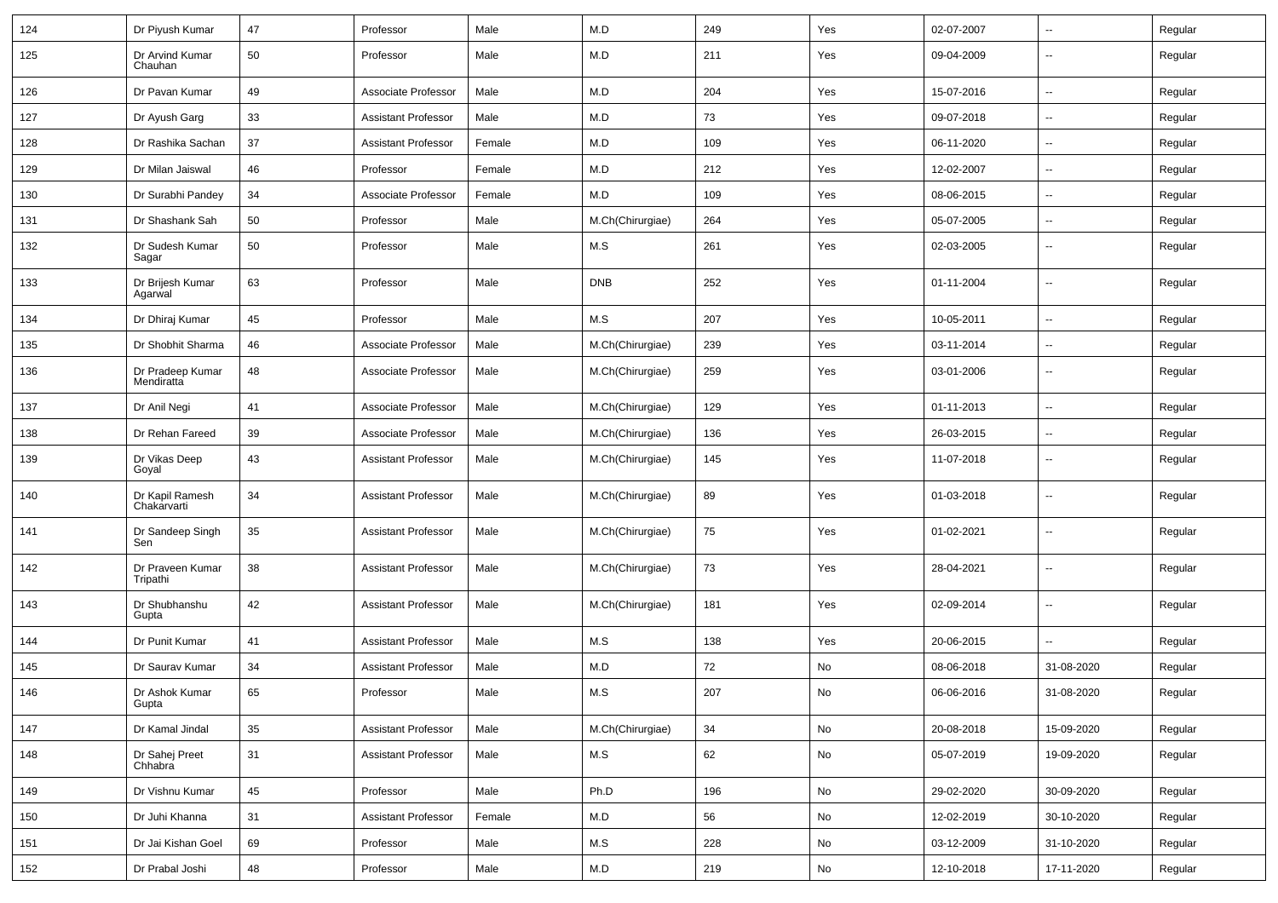| 124 | Dr Piyush Kumar                | 47 | Professor                  | Male   | M.D              | 249 | Yes           | 02-07-2007 | $\mathbf{u}$             | Regular |
|-----|--------------------------------|----|----------------------------|--------|------------------|-----|---------------|------------|--------------------------|---------|
| 125 | Dr Arvind Kumar<br>Chauhan     | 50 | Professor                  | Male   | M.D              | 211 | Yes           | 09-04-2009 | $\mathbf{u}$             | Regular |
| 126 | Dr Pavan Kumar                 | 49 | Associate Professor        | Male   | M.D              | 204 | Yes           | 15-07-2016 | $\mathbf{u}$             | Regular |
| 127 | Dr Ayush Garg                  | 33 | Assistant Professor        | Male   | M.D              | 73  | Yes           | 09-07-2018 | --                       | Regular |
| 128 | Dr Rashika Sachan              | 37 | <b>Assistant Professor</b> | Female | M.D              | 109 | Yes           | 06-11-2020 | $\overline{\phantom{a}}$ | Regular |
| 129 | Dr Milan Jaiswal               | 46 | Professor                  | Female | M.D              | 212 | Yes           | 12-02-2007 | $\mathbf{u}$             | Regular |
| 130 | Dr Surabhi Pandey              | 34 | Associate Professor        | Female | M.D              | 109 | Yes           | 08-06-2015 | $\mathbf{u}$             | Regular |
| 131 | Dr Shashank Sah                | 50 | Professor                  | Male   | M.Ch(Chirurgiae) | 264 | Yes           | 05-07-2005 | $\sim$                   | Regular |
| 132 | Dr Sudesh Kumar<br>Sagar       | 50 | Professor                  | Male   | M.S              | 261 | Yes           | 02-03-2005 | $\mathbf{u}$             | Regular |
| 133 | Dr Brijesh Kumar<br>Agarwal    | 63 | Professor                  | Male   | <b>DNB</b>       | 252 | Yes           | 01-11-2004 | $\sim$                   | Regular |
| 134 | Dr Dhiraj Kumar                | 45 | Professor                  | Male   | M.S              | 207 | Yes           | 10-05-2011 | $\mathbf{u}$             | Regular |
| 135 | Dr Shobhit Sharma              | 46 | Associate Professor        | Male   | M.Ch(Chirurgiae) | 239 | Yes           | 03-11-2014 | $\overline{\phantom{a}}$ | Regular |
| 136 | Dr Pradeep Kumar<br>Mendiratta | 48 | Associate Professor        | Male   | M.Ch(Chirurgiae) | 259 | Yes           | 03-01-2006 | $\overline{\phantom{a}}$ | Regular |
| 137 | Dr Anil Negi                   | 41 | Associate Professor        | Male   | M.Ch(Chirurgiae) | 129 | Yes           | 01-11-2013 | $\mathbf{u}$             | Regular |
| 138 | Dr Rehan Fareed                | 39 | Associate Professor        | Male   | M.Ch(Chirurgiae) | 136 | Yes           | 26-03-2015 | $\mathbf{u}$             | Regular |
| 139 | Dr Vikas Deep<br>Goyal         | 43 | <b>Assistant Professor</b> | Male   | M.Ch(Chirurgiae) | 145 | Yes           | 11-07-2018 | --                       | Regular |
| 140 | Dr Kapil Ramesh<br>Chakarvarti | 34 | <b>Assistant Professor</b> | Male   | M.Ch(Chirurgiae) | 89  | Yes           | 01-03-2018 | --                       | Regular |
| 141 | Dr Sandeep Singh<br>Sen        | 35 | <b>Assistant Professor</b> | Male   | M.Ch(Chirurgiae) | 75  | Yes           | 01-02-2021 | --                       | Regular |
| 142 | Dr Praveen Kumar<br>Tripathi   | 38 | <b>Assistant Professor</b> | Male   | M.Ch(Chirurgiae) | 73  | Yes           | 28-04-2021 | --                       | Regular |
| 143 | Dr Shubhanshu<br>Gupta         | 42 | <b>Assistant Professor</b> | Male   | M.Ch(Chirurgiae) | 181 | Yes           | 02-09-2014 | --                       | Regular |
| 144 | Dr Punit Kumar                 | 41 | <b>Assistant Professor</b> | Male   | M.S              | 138 | Yes           | 20-06-2015 |                          | Regular |
| 145 | Dr Saurav Kumar                | 34 | <b>Assistant Professor</b> | Male   | M.D              | 72  | No            | 08-06-2018 | 31-08-2020               | Regular |
| 146 | Dr Ashok Kumar<br>Gupta        | 65 | Professor                  | Male   | M.S              | 207 | No            | 06-06-2016 | 31-08-2020               | Regular |
| 147 | Dr Kamal Jindal                | 35 | <b>Assistant Professor</b> | Male   | M.Ch(Chirurgiae) | 34  | No            | 20-08-2018 | 15-09-2020               | Regular |
| 148 | Dr Sahej Preet<br>Chhabra      | 31 | <b>Assistant Professor</b> | Male   | M.S              | 62  | $\mathsf{No}$ | 05-07-2019 | 19-09-2020               | Regular |
| 149 | Dr Vishnu Kumar                | 45 | Professor                  | Male   | Ph.D             | 196 | No            | 29-02-2020 | 30-09-2020               | Regular |
| 150 | Dr Juhi Khanna                 | 31 | <b>Assistant Professor</b> | Female | M.D              | 56  | No            | 12-02-2019 | 30-10-2020               | Regular |
| 151 | Dr Jai Kishan Goel             | 69 | Professor                  | Male   | M.S              | 228 | No            | 03-12-2009 | 31-10-2020               | Regular |
| 152 | Dr Prabal Joshi                | 48 | Professor                  | Male   | M.D              | 219 | No            | 12-10-2018 | 17-11-2020               | Regular |